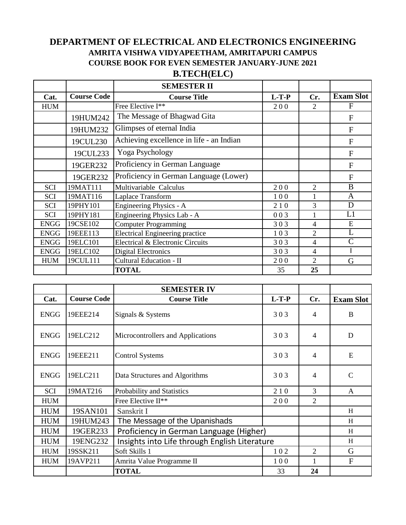## **DEPARTMENT OF ELECTRICAL AND ELECTRONICS ENGINEERING AMRITA VISHWA VIDYAPEETHAM, AMRITAPURI CAMPUS COURSE BOOK FOR EVEN SEMESTER JANUARY-JUNE 2021**

## **B.TECH(ELC)**

|             |                    | <b>SEMESTER II</b>                       |         |                |                  |
|-------------|--------------------|------------------------------------------|---------|----------------|------------------|
| Cat.        | <b>Course Code</b> | <b>Course Title</b>                      | $L-T-P$ | Cr.            | <b>Exam Slot</b> |
| <b>HUM</b>  |                    | Free Elective I**                        | 200     | $\overline{2}$ | F                |
|             | 19HUM242           | The Message of Bhagwad Gita              |         |                | F                |
|             | 19HUM232           | Glimpses of eternal India                |         |                | F                |
|             | 19CUL230           | Achieving excellence in life - an Indian |         |                | $\overline{F}$   |
|             | 19CUL233           | Yoga Psychology                          |         |                | F                |
|             | 19GER232           | Proficiency in German Language           |         |                | F                |
|             | 19GER232           | Proficiency in German Language (Lower)   |         |                | $\mathbf{F}$     |
| SCI         | 19MAT111           | Multivariable Calculus                   | 200     | $\overline{2}$ | B                |
| <b>SCI</b>  | 19MAT116           | Laplace Transform                        | 100     | 1              | A                |
| <b>SCI</b>  | 19PHY101           | Engineering Physics - A                  | 210     | 3              | D                |
| <b>SCI</b>  | 19PHY181           | Engineering Physics Lab - A              | 003     |                | L1               |
| <b>ENGG</b> | 19CSE102           | <b>Computer Programming</b>              | 303     | $\overline{4}$ | E                |
| <b>ENGG</b> | 19EEE113           | <b>Electrical Engineering practice</b>   | 103     | $\overline{2}$ | L                |
| <b>ENGG</b> | 19ELC101           | Electrical & Electronic Circuits         | 303     | $\overline{4}$ | $\overline{C}$   |
| <b>ENGG</b> | 19ELC102           | Digital Electronics                      | 303     | 4              |                  |
| <b>HUM</b>  | 19CUL111           | Cultural Education - II                  | 200     | $\mathfrak{D}$ | G                |
|             |                    | <b>TOTAL</b>                             | 35      | 25             |                  |

|             |                    | <b>SEMESTER IV</b>                            |         |                             |                  |
|-------------|--------------------|-----------------------------------------------|---------|-----------------------------|------------------|
| Cat.        | <b>Course Code</b> | <b>Course Title</b>                           | $L-T-P$ | Cr.                         | <b>Exam Slot</b> |
| <b>ENGG</b> | 19EEE214           | Signals & Systems                             | 303     | 4                           | B                |
| <b>ENGG</b> | 19ELC212           | Microcontrollers and Applications             | 303     | 4                           | D                |
| <b>ENGG</b> | 19EEE211           | <b>Control Systems</b>                        | 303     | 4                           | E                |
| <b>ENGG</b> | 19ELC211           | Data Structures and Algorithms                | 303     | 4                           | C                |
| SCI         | 19MAT216           | Probability and Statistics                    | 210     | 3                           | A                |
| <b>HUM</b>  |                    | Free Elective II**                            | 200     | $\overline{2}$              |                  |
| <b>HUM</b>  | 19SAN101           | Sanskrit I                                    |         |                             | H                |
| <b>HUM</b>  | 19HUM243           | The Message of the Upanishads                 |         |                             | H                |
| <b>HUM</b>  | 19GER233           | Proficiency in German Language (Higher)       |         |                             | H                |
| <b>HUM</b>  | 19ENG232           | Insights into Life through English Literature |         |                             | H                |
| <b>HUM</b>  | 19SSK211           | Soft Skills 1                                 | 102     | $\mathcal{D}_{\mathcal{L}}$ | G                |
| <b>HUM</b>  | 19AVP211           | Amrita Value Programme II                     | 100     | 1                           | F                |
|             |                    | <b>TOTAL</b>                                  | 33      | 24                          |                  |